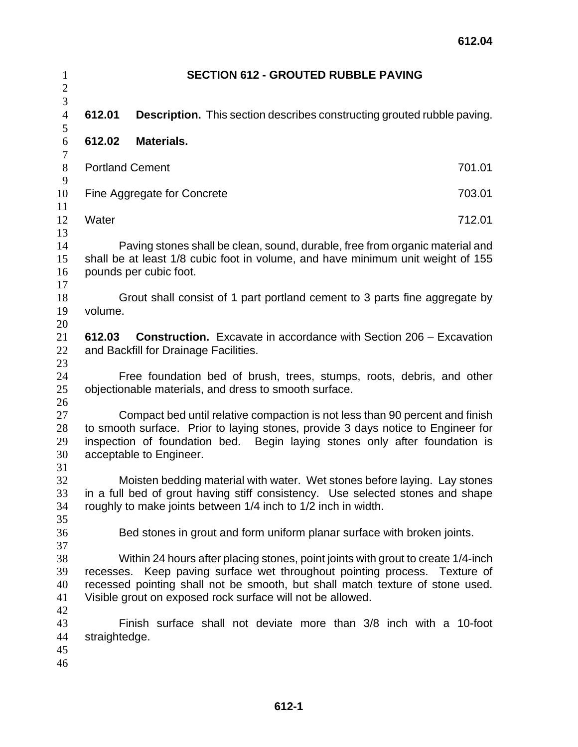| $\mathbf{1}$     | <b>SECTION 612 - GROUTED RUBBLE PAVING</b>                                            |                                                                                  |        |  |  |
|------------------|---------------------------------------------------------------------------------------|----------------------------------------------------------------------------------|--------|--|--|
| $\overline{c}$   |                                                                                       |                                                                                  |        |  |  |
| $\overline{3}$   |                                                                                       |                                                                                  |        |  |  |
| $\overline{4}$   | 612.01                                                                                | <b>Description.</b> This section describes constructing grouted rubble paving.   |        |  |  |
| 5                |                                                                                       |                                                                                  |        |  |  |
| 6                | 612.02                                                                                | <b>Materials.</b>                                                                |        |  |  |
| $\boldsymbol{7}$ |                                                                                       |                                                                                  |        |  |  |
| $8\,$            | <b>Portland Cement</b>                                                                |                                                                                  | 701.01 |  |  |
| 9                |                                                                                       |                                                                                  |        |  |  |
| 10               | 703.01<br>Fine Aggregate for Concrete                                                 |                                                                                  |        |  |  |
| 11               |                                                                                       |                                                                                  |        |  |  |
| 12               | Water                                                                                 |                                                                                  | 712.01 |  |  |
| 13               |                                                                                       |                                                                                  |        |  |  |
| 14               | Paving stones shall be clean, sound, durable, free from organic material and          |                                                                                  |        |  |  |
| 15               | shall be at least 1/8 cubic foot in volume, and have minimum unit weight of 155       |                                                                                  |        |  |  |
| 16<br>17         |                                                                                       | pounds per cubic foot.                                                           |        |  |  |
| 18               |                                                                                       |                                                                                  |        |  |  |
| 19               | Grout shall consist of 1 part portland cement to 3 parts fine aggregate by<br>volume. |                                                                                  |        |  |  |
| 20               |                                                                                       |                                                                                  |        |  |  |
| 21               | 612.03                                                                                | <b>Construction.</b> Excavate in accordance with Section 206 – Excavation        |        |  |  |
| 22               | and Backfill for Drainage Facilities.                                                 |                                                                                  |        |  |  |
| 23               |                                                                                       |                                                                                  |        |  |  |
| 24               |                                                                                       | Free foundation bed of brush, trees, stumps, roots, debris, and other            |        |  |  |
| 25               |                                                                                       | objectionable materials, and dress to smooth surface.                            |        |  |  |
| 26               |                                                                                       |                                                                                  |        |  |  |
| 27               |                                                                                       | Compact bed until relative compaction is not less than 90 percent and finish     |        |  |  |
| 28               | to smooth surface. Prior to laying stones, provide 3 days notice to Engineer for      |                                                                                  |        |  |  |
| 29               | inspection of foundation bed. Begin laying stones only after foundation is            |                                                                                  |        |  |  |
| 30               | acceptable to Engineer.                                                               |                                                                                  |        |  |  |
| 31               |                                                                                       |                                                                                  |        |  |  |
| 32               |                                                                                       | Moisten bedding material with water. Wet stones before laying. Lay stones        |        |  |  |
| 33               |                                                                                       | in a full bed of grout having stiff consistency. Use selected stones and shape   |        |  |  |
| 34               |                                                                                       | roughly to make joints between 1/4 inch to 1/2 inch in width.                    |        |  |  |
| 35               |                                                                                       |                                                                                  |        |  |  |
| 36               |                                                                                       | Bed stones in grout and form uniform planar surface with broken joints.          |        |  |  |
| 37               |                                                                                       |                                                                                  |        |  |  |
| 38               |                                                                                       | Within 24 hours after placing stones, point joints with grout to create 1/4-inch |        |  |  |
| 39               | recesses.                                                                             | Keep paving surface wet throughout pointing process. Texture of                  |        |  |  |
| 40               |                                                                                       | recessed pointing shall not be smooth, but shall match texture of stone used.    |        |  |  |
| 41               |                                                                                       | Visible grout on exposed rock surface will not be allowed.                       |        |  |  |
| 42               |                                                                                       |                                                                                  |        |  |  |
| 43               |                                                                                       | Finish surface shall not deviate more than 3/8 inch with a 10-foot               |        |  |  |
| 44               | straightedge.                                                                         |                                                                                  |        |  |  |
| 45               |                                                                                       |                                                                                  |        |  |  |
| 46               |                                                                                       |                                                                                  |        |  |  |